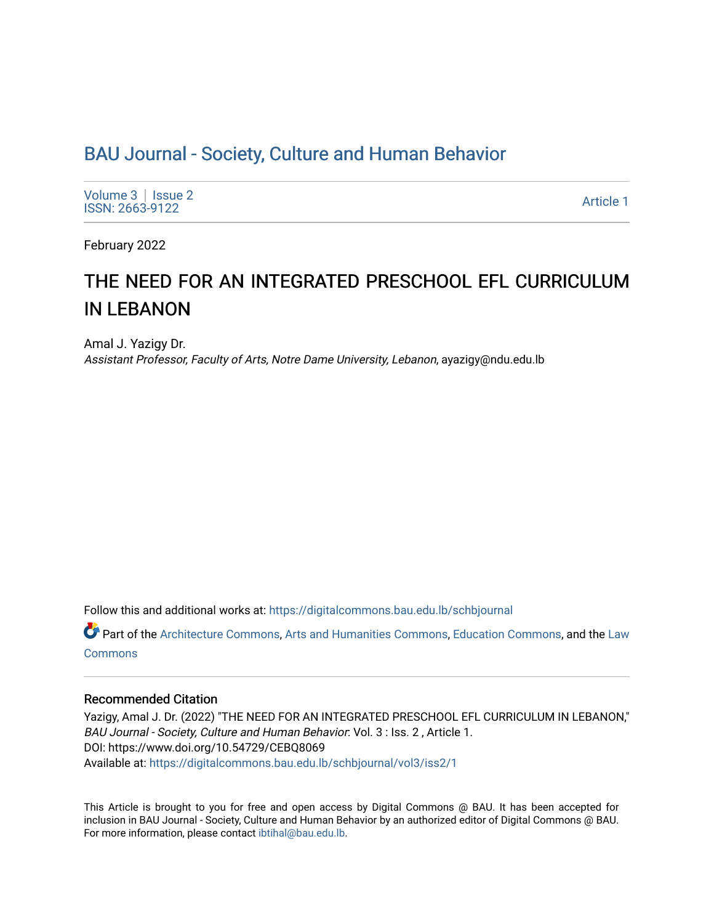## [BAU Journal - Society, Culture and Human Behavior](https://digitalcommons.bau.edu.lb/schbjournal)

[Volume 3](https://digitalcommons.bau.edu.lb/schbjournal/vol3) | Issue 2 Notative Superior Contract the Superior Contract of the Superior Contract of the [Article 1](https://digitalcommons.bau.edu.lb/schbjournal/vol3/iss2/1) Article 1 Article 1

February 2022

# THE NEED FOR AN INTEGRATED PRESCHOOL EFL CURRICULUM IN LEBANON

Amal J. Yazigy Dr. Assistant Professor, Faculty of Arts, Notre Dame University, Lebanon, ayazigy@ndu.edu.lb

Follow this and additional works at: [https://digitalcommons.bau.edu.lb/schbjournal](https://digitalcommons.bau.edu.lb/schbjournal?utm_source=digitalcommons.bau.edu.lb%2Fschbjournal%2Fvol3%2Fiss2%2F1&utm_medium=PDF&utm_campaign=PDFCoverPages)

Part of the [Architecture Commons](http://network.bepress.com/hgg/discipline/773?utm_source=digitalcommons.bau.edu.lb%2Fschbjournal%2Fvol3%2Fiss2%2F1&utm_medium=PDF&utm_campaign=PDFCoverPages), [Arts and Humanities Commons](http://network.bepress.com/hgg/discipline/438?utm_source=digitalcommons.bau.edu.lb%2Fschbjournal%2Fvol3%2Fiss2%2F1&utm_medium=PDF&utm_campaign=PDFCoverPages), [Education Commons,](http://network.bepress.com/hgg/discipline/784?utm_source=digitalcommons.bau.edu.lb%2Fschbjournal%2Fvol3%2Fiss2%2F1&utm_medium=PDF&utm_campaign=PDFCoverPages) and the Law **[Commons](http://network.bepress.com/hgg/discipline/578?utm_source=digitalcommons.bau.edu.lb%2Fschbjournal%2Fvol3%2Fiss2%2F1&utm_medium=PDF&utm_campaign=PDFCoverPages)** 

## Recommended Citation

Yazigy, Amal J. Dr. (2022) "THE NEED FOR AN INTEGRATED PRESCHOOL EFL CURRICULUM IN LEBANON," BAU Journal - Society, Culture and Human Behavior: Vol. 3 : Iss. 2 , Article 1. DOI: https://www.doi.org/10.54729/CEBQ8069 Available at: [https://digitalcommons.bau.edu.lb/schbjournal/vol3/iss2/1](https://digitalcommons.bau.edu.lb/schbjournal/vol3/iss2/1?utm_source=digitalcommons.bau.edu.lb%2Fschbjournal%2Fvol3%2Fiss2%2F1&utm_medium=PDF&utm_campaign=PDFCoverPages)

This Article is brought to you for free and open access by Digital Commons @ BAU. It has been accepted for inclusion in BAU Journal - Society, Culture and Human Behavior by an authorized editor of Digital Commons @ BAU. For more information, please contact [ibtihal@bau.edu.lb.](mailto:ibtihal@bau.edu.lb)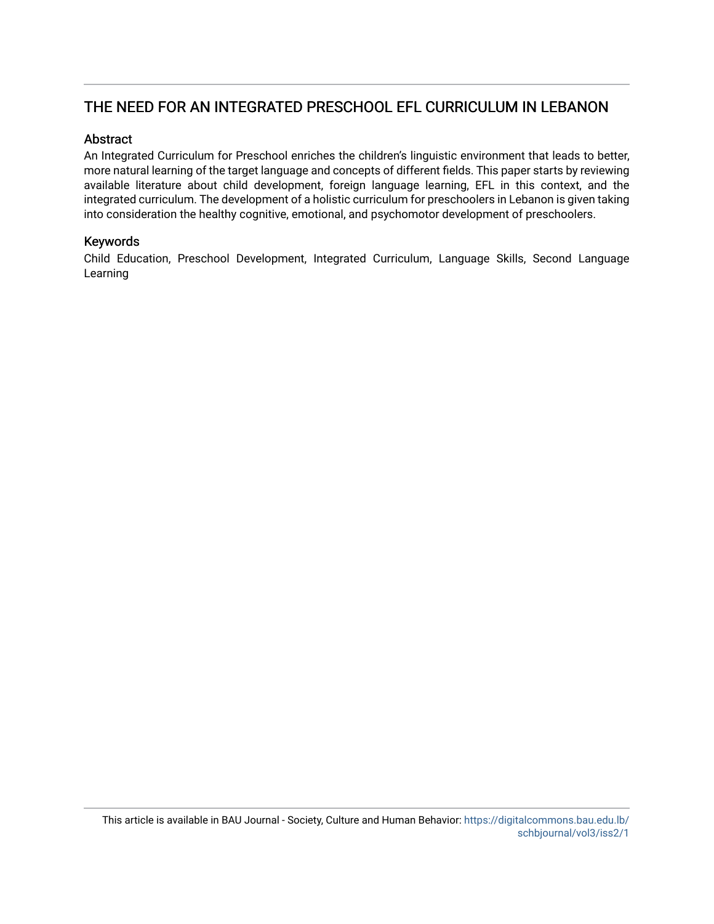## THE NEED FOR AN INTEGRATED PRESCHOOL EFL CURRICULUM IN LEBANON

## Abstract

An Integrated Curriculum for Preschool enriches the children's linguistic environment that leads to better, more natural learning of the target language and concepts of different fields. This paper starts by reviewing available literature about child development, foreign language learning, EFL in this context, and the integrated curriculum. The development of a holistic curriculum for preschoolers in Lebanon is given taking into consideration the healthy cognitive, emotional, and psychomotor development of preschoolers.

## Keywords

Child Education, Preschool Development, Integrated Curriculum, Language Skills, Second Language Learning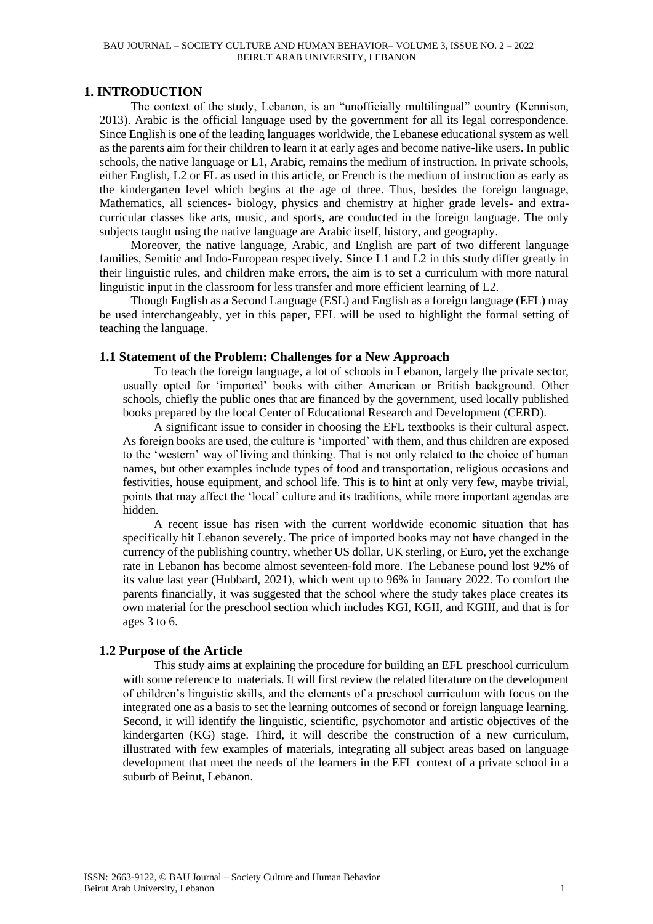#### BAU JOURNAL – SOCIETY CULTURE AND HUMAN BEHAVIOR– VOLUME 3, ISSUE NO. 2 – 2022 BEIRUT ARAB UNIVERSITY, LEBANON

## **1. INTRODUCTION**

The context of the study, Lebanon, is an "unofficially multilingual" country (Kennison, 2013). Arabic is the official language used by the government for all its legal correspondence. Since English is one of the leading languages worldwide, the Lebanese educational system as well as the parents aim for their children to learn it at early ages and become native-like users. In public schools, the native language or L1, Arabic, remains the medium of instruction. In private schools, either English, L2 or FL as used in this article, or French is the medium of instruction as early as the kindergarten level which begins at the age of three. Thus, besides the foreign language, Mathematics, all sciences- biology, physics and chemistry at higher grade levels- and extracurricular classes like arts, music, and sports, are conducted in the foreign language. The only subjects taught using the native language are Arabic itself, history, and geography.

Moreover, the native language, Arabic, and English are part of two different language families, Semitic and Indo-European respectively. Since L1 and L2 in this study differ greatly in their linguistic rules, and children make errors, the aim is to set a curriculum with more natural linguistic input in the classroom for less transfer and more efficient learning of L2.

Though English as a Second Language (ESL) and English as a foreign language (EFL) may be used interchangeably, yet in this paper, EFL will be used to highlight the formal setting of teaching the language.

## **1.1 Statement of the Problem: Challenges for a New Approach**

To teach the foreign language, a lot of schools in Lebanon, largely the private sector, usually opted for 'imported' books with either American or British background. Other schools, chiefly the public ones that are financed by the government, used locally published books prepared by the local Center of Educational Research and Development (CERD).

A significant issue to consider in choosing the EFL textbooks is their cultural aspect. As foreign books are used, the culture is 'imported' with them, and thus children are exposed to the 'western' way of living and thinking. That is not only related to the choice of human names, but other examples include types of food and transportation, religious occasions and festivities, house equipment, and school life. This is to hint at only very few, maybe trivial, points that may affect the 'local' culture and its traditions, while more important agendas are hidden.

A recent issue has risen with the current worldwide economic situation that has specifically hit Lebanon severely. The price of imported books may not have changed in the currency of the publishing country, whether US dollar, UK sterling, or Euro, yet the exchange rate in Lebanon has become almost seventeen-fold more. The Lebanese pound lost 92% of its value last year (Hubbard, 2021), which went up to 96% in January 2022. To comfort the parents financially, it was suggested that the school where the study takes place creates its own material for the preschool section which includes KGI, KGII, and KGIII, and that is for ages 3 to 6.

## **1.2 Purpose of the Article**

This study aims at explaining the procedure for building an EFL preschool curriculum with some reference to materials. It will first review the related literature on the development of children's linguistic skills, and the elements of a preschool curriculum with focus on the integrated one as a basis to set the learning outcomes of second or foreign language learning. Second, it will identify the linguistic, scientific, psychomotor and artistic objectives of the kindergarten (KG) stage. Third, it will describe the construction of a new curriculum, illustrated with few examples of materials, integrating all subject areas based on language development that meet the needs of the learners in the EFL context of a private school in a suburb of Beirut, Lebanon.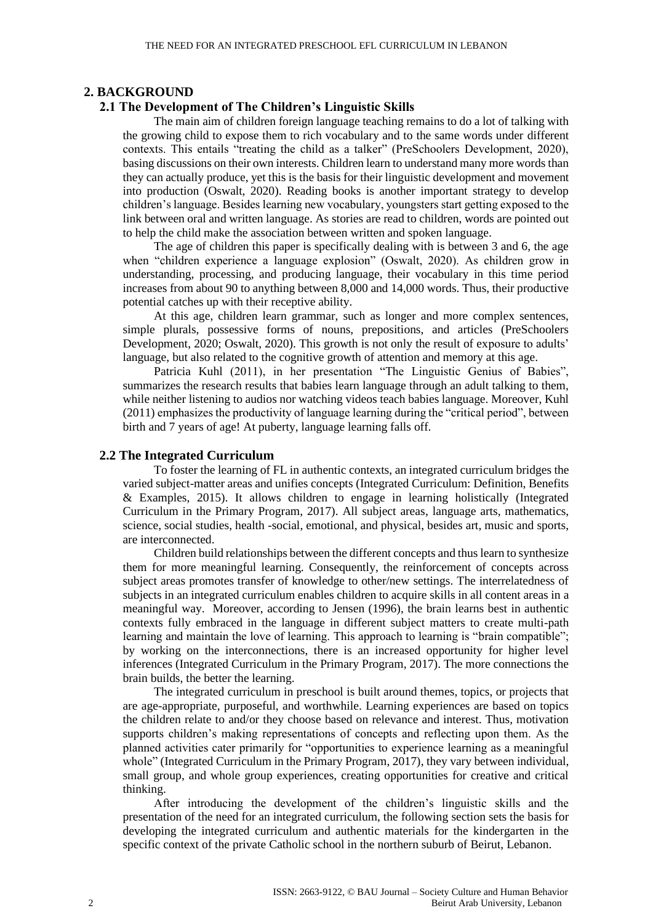## **2. BACKGROUND**

## **2.1 The Development of The Children's Linguistic Skills**

The main aim of children foreign language teaching remains to do a lot of talking with the growing child to expose them to rich vocabulary and to the same words under different contexts. This entails "treating the child as a talker" (PreSchoolers Development, 2020), basing discussions on their own interests. Children learn to understand many more words than they can actually produce, yet this is the basis for their linguistic development and movement into production (Oswalt, 2020). Reading books is another important strategy to develop children's language. Besides learning new vocabulary, youngsters start getting exposed to the link between oral and written language. As stories are read to children, words are pointed out to help the child make the association between written and spoken language.

The age of children this paper is specifically dealing with is between 3 and 6, the age when "children experience a language explosion" (Oswalt, 2020). As children grow in understanding, processing, and producing language, their vocabulary in this time period increases from about 90 to anything between 8,000 and 14,000 words. Thus, their productive potential catches up with their receptive ability.

At this age, children learn grammar, such as longer and more complex sentences, simple plurals, possessive forms of nouns, prepositions, and articles (PreSchoolers Development, 2020; Oswalt, 2020). This growth is not only the result of exposure to adults' language, but also related to the cognitive growth of attention and memory at this age.

Patricia Kuhl (2011), in her presentation "The Linguistic Genius of Babies", summarizes the research results that babies learn language through an adult talking to them, while neither listening to audios nor watching videos teach babies language. Moreover, Kuhl (2011) emphasizes the productivity of language learning during the "critical period", between birth and 7 years of age! At puberty, language learning falls off.

#### **2.2 The Integrated Curriculum**

To foster the learning of FL in authentic contexts, an integrated curriculum bridges the varied subject-matter areas and unifies concepts (Integrated Curriculum: Definition, Benefits & Examples, 2015). It allows children to engage in learning holistically (Integrated Curriculum in the Primary Program, 2017). All subject areas, language arts, mathematics, science, social studies, health -social, emotional, and physical, besides art, music and sports, are interconnected.

Children build relationships between the different concepts and thus learn to synthesize them for more meaningful learning. Consequently, the reinforcement of concepts across subject areas promotes transfer of knowledge to other/new settings. The interrelatedness of subjects in an integrated curriculum enables children to acquire skills in all content areas in a meaningful way. Moreover, according to Jensen (1996), the brain learns best in authentic contexts fully embraced in the language in different subject matters to create multi-path learning and maintain the love of learning. This approach to learning is "brain compatible"; by working on the interconnections, there is an increased opportunity for higher level inferences (Integrated Curriculum in the Primary Program, 2017). The more connections the brain builds, the better the learning.

The integrated curriculum in preschool is built around themes, topics, or projects that are age-appropriate, purposeful, and worthwhile. Learning experiences are based on topics the children relate to and/or they choose based on relevance and interest. Thus, motivation supports children's making representations of concepts and reflecting upon them. As the planned activities cater primarily for "opportunities to experience learning as a meaningful whole" (Integrated Curriculum in the Primary Program, 2017), they vary between individual, small group, and whole group experiences, creating opportunities for creative and critical thinking.

After introducing the development of the children's linguistic skills and the presentation of the need for an integrated curriculum, the following section sets the basis for developing the integrated curriculum and authentic materials for the kindergarten in the specific context of the private Catholic school in the northern suburb of Beirut, Lebanon.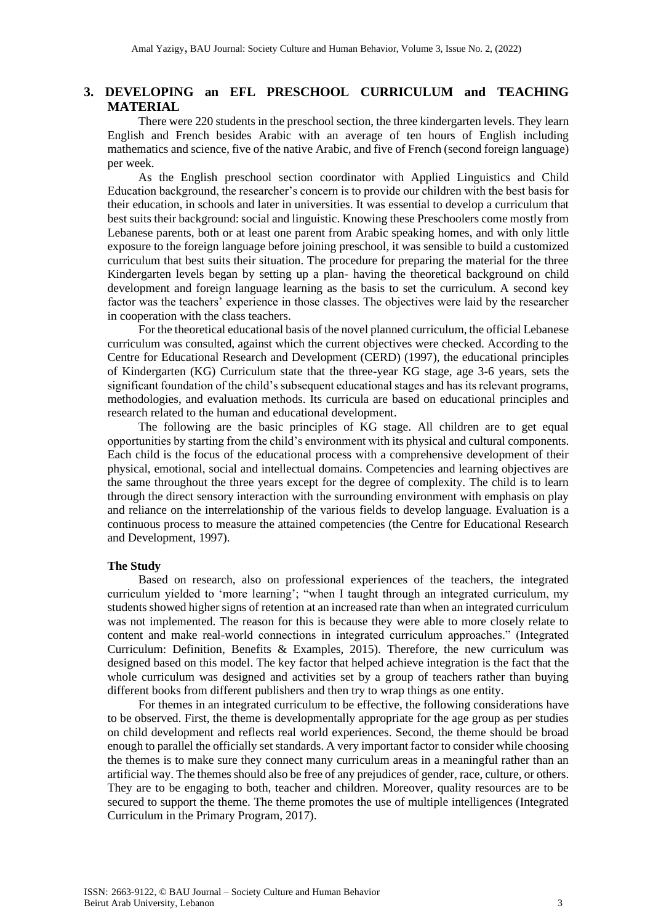## **3. DEVELOPING an EFL PRESCHOOL CURRICULUM and TEACHING MATERIAL**

There were 220 students in the preschool section, the three kindergarten levels. They learn English and French besides Arabic with an average of ten hours of English including mathematics and science, five of the native Arabic, and five of French (second foreign language) per week.

As the English preschool section coordinator with Applied Linguistics and Child Education background, the researcher's concern is to provide our children with the best basis for their education, in schools and later in universities. It was essential to develop a curriculum that best suits their background: social and linguistic. Knowing these Preschoolers come mostly from Lebanese parents, both or at least one parent from Arabic speaking homes, and with only little exposure to the foreign language before joining preschool, it was sensible to build a customized curriculum that best suits their situation. The procedure for preparing the material for the three Kindergarten levels began by setting up a plan- having the theoretical background on child development and foreign language learning as the basis to set the curriculum. A second key factor was the teachers' experience in those classes. The objectives were laid by the researcher in cooperation with the class teachers.

For the theoretical educational basis of the novel planned curriculum, the official Lebanese curriculum was consulted, against which the current objectives were checked. According to the Centre for Educational Research and Development (CERD) (1997), the educational principles of Kindergarten (KG) Curriculum state that the three-year KG stage, age 3-6 years, sets the significant foundation of the child's subsequent educational stages and has its relevant programs, methodologies, and evaluation methods. Its curricula are based on educational principles and research related to the human and educational development.

The following are the basic principles of KG stage. All children are to get equal opportunities by starting from the child's environment with its physical and cultural components. Each child is the focus of the educational process with a comprehensive development of their physical, emotional, social and intellectual domains. Competencies and learning objectives are the same throughout the three years except for the degree of complexity. The child is to learn through the direct sensory interaction with the surrounding environment with emphasis on play and reliance on the interrelationship of the various fields to develop language. Evaluation is a continuous process to measure the attained competencies (the Centre for Educational Research and Development, 1997).

#### **The Study**

Based on research, also on professional experiences of the teachers, the integrated curriculum yielded to 'more learning'; "when I taught through an integrated curriculum, my students showed higher signs of retention at an increased rate than when an integrated curriculum was not implemented. The reason for this is because they were able to more closely relate to content and make real-world connections in integrated curriculum approaches." (Integrated Curriculum: Definition, Benefits & Examples, 2015). Therefore, the new curriculum was designed based on this model. The key factor that helped achieve integration is the fact that the whole curriculum was designed and activities set by a group of teachers rather than buying different books from different publishers and then try to wrap things as one entity.

For themes in an integrated curriculum to be effective, the following considerations have to be observed. First, the theme is developmentally appropriate for the age group as per studies on child development and reflects real world experiences. Second, the theme should be broad enough to parallel the officially set standards. A very important factor to consider while choosing the themes is to make sure they connect many curriculum areas in a meaningful rather than an artificial way. The themes should also be free of any prejudices of gender, race, culture, or others. They are to be engaging to both, teacher and children. Moreover, quality resources are to be secured to support the theme. The theme promotes the use of multiple intelligences (Integrated Curriculum in the Primary Program, 2017).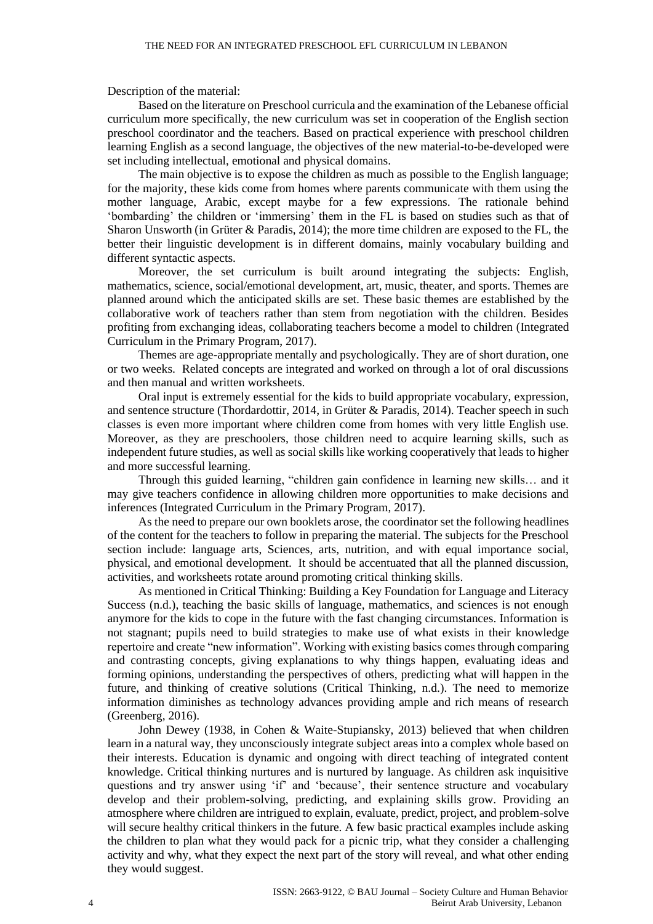Description of the material:

Based on the literature on Preschool curricula and the examination of the Lebanese official curriculum more specifically, the new curriculum was set in cooperation of the English section preschool coordinator and the teachers. Based on practical experience with preschool children learning English as a second language, the objectives of the new material-to-be-developed were set including intellectual, emotional and physical domains.

The main objective is to expose the children as much as possible to the English language; for the majority, these kids come from homes where parents communicate with them using the mother language, Arabic, except maybe for a few expressions. The rationale behind 'bombarding' the children or 'immersing' them in the FL is based on studies such as that of Sharon Unsworth (in Grüter & Paradis, 2014); the more time children are exposed to the FL, the better their linguistic development is in different domains, mainly vocabulary building and different syntactic aspects.

Moreover, the set curriculum is built around integrating the subjects: English, mathematics, science, social/emotional development, art, music, theater, and sports. Themes are planned around which the anticipated skills are set. These basic themes are established by the collaborative work of teachers rather than stem from negotiation with the children. Besides profiting from exchanging ideas, collaborating teachers become a model to children (Integrated Curriculum in the Primary Program, 2017).

Themes are age-appropriate mentally and psychologically. They are of short duration, one or two weeks. Related concepts are integrated and worked on through a lot of oral discussions and then manual and written worksheets.

Oral input is extremely essential for the kids to build appropriate vocabulary, expression, and sentence structure (Thordardottir, 2014, in Grüter & Paradis, 2014). Teacher speech in such classes is even more important where children come from homes with very little English use. Moreover, as they are preschoolers, those children need to acquire learning skills, such as independent future studies, as well as social skills like working cooperatively that leads to higher and more successful learning.

Through this guided learning, "children gain confidence in learning new skills… and it may give teachers confidence in allowing children more opportunities to make decisions and inferences (Integrated Curriculum in the Primary Program, 2017).

As the need to prepare our own booklets arose, the coordinator set the following headlines of the content for the teachers to follow in preparing the material. The subjects for the Preschool section include: language arts, Sciences, arts, nutrition, and with equal importance social, physical, and emotional development. It should be accentuated that all the planned discussion, activities, and worksheets rotate around promoting critical thinking skills.

As mentioned in Critical Thinking: Building a Key Foundation for Language and Literacy Success (n.d.), teaching the basic skills of language, mathematics, and sciences is not enough anymore for the kids to cope in the future with the fast changing circumstances. Information is not stagnant; pupils need to build strategies to make use of what exists in their knowledge repertoire and create "new information". Working with existing basics comes through comparing and contrasting concepts, giving explanations to why things happen, evaluating ideas and forming opinions, understanding the perspectives of others, predicting what will happen in the future, and thinking of creative solutions (Critical Thinking, n.d.). The need to memorize information diminishes as technology advances providing ample and rich means of research (Greenberg, 2016).

John Dewey (1938, in Cohen & Waite-Stupiansky, 2013) believed that when children learn in a natural way, they unconsciously integrate subject areas into a complex whole based on their interests. Education is dynamic and ongoing with direct teaching of integrated content knowledge. Critical thinking nurtures and is nurtured by language. As children ask inquisitive questions and try answer using 'if' and 'because', their sentence structure and vocabulary develop and their problem-solving, predicting, and explaining skills grow. Providing an atmosphere where children are intrigued to explain, evaluate, predict, project, and problem-solve will secure healthy critical thinkers in the future. A few basic practical examples include asking the children to plan what they would pack for a picnic trip, what they consider a challenging activity and why, what they expect the next part of the story will reveal, and what other ending they would suggest.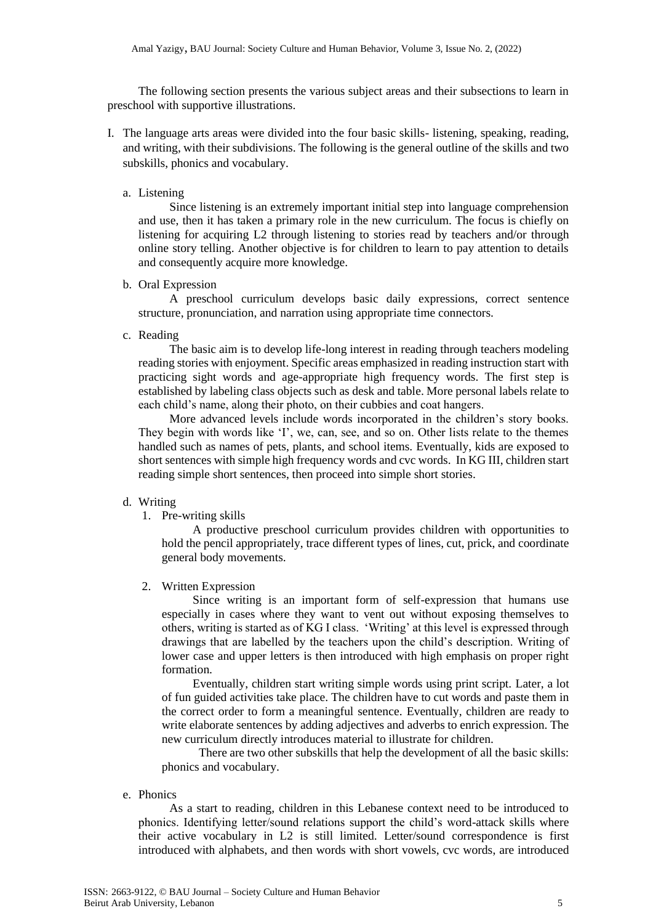The following section presents the various subject areas and their subsections to learn in preschool with supportive illustrations.

- I. The language arts areas were divided into the four basic skills- listening, speaking, reading, and writing, with their subdivisions. The following is the general outline of the skills and two subskills, phonics and vocabulary.
	- a. Listening

Since listening is an extremely important initial step into language comprehension and use, then it has taken a primary role in the new curriculum. The focus is chiefly on listening for acquiring L2 through listening to stories read by teachers and/or through online story telling. Another objective is for children to learn to pay attention to details and consequently acquire more knowledge.

b. Oral Expression

A preschool curriculum develops basic daily expressions, correct sentence structure, pronunciation, and narration using appropriate time connectors.

c. Reading

The basic aim is to develop life-long interest in reading through teachers modeling reading stories with enjoyment. Specific areas emphasized in reading instruction start with practicing sight words and age-appropriate high frequency words. The first step is established by labeling class objects such as desk and table. More personal labels relate to each child's name, along their photo, on their cubbies and coat hangers.

More advanced levels include words incorporated in the children's story books. They begin with words like 'I', we, can, see, and so on. Other lists relate to the themes handled such as names of pets, plants, and school items. Eventually, kids are exposed to short sentences with simple high frequency words and cvc words. In KG III, children start reading simple short sentences, then proceed into simple short stories.

## d. Writing

1. Pre-writing skills

A productive preschool curriculum provides children with opportunities to hold the pencil appropriately, trace different types of lines, cut, prick, and coordinate general body movements.

2. Written Expression

Since writing is an important form of self-expression that humans use especially in cases where they want to vent out without exposing themselves to others, writing is started as of KG I class. 'Writing' at this level is expressed through drawings that are labelled by the teachers upon the child's description. Writing of lower case and upper letters is then introduced with high emphasis on proper right formation.

Eventually, children start writing simple words using print script. Later, a lot of fun guided activities take place. The children have to cut words and paste them in the correct order to form a meaningful sentence. Eventually, children are ready to write elaborate sentences by adding adjectives and adverbs to enrich expression. The new curriculum directly introduces material to illustrate for children.

 There are two other subskills that help the development of all the basic skills: phonics and vocabulary.

e. Phonics

As a start to reading, children in this Lebanese context need to be introduced to phonics. Identifying letter/sound relations support the child's word-attack skills where their active vocabulary in L2 is still limited. Letter/sound correspondence is first introduced with alphabets, and then words with short vowels, cvc words, are introduced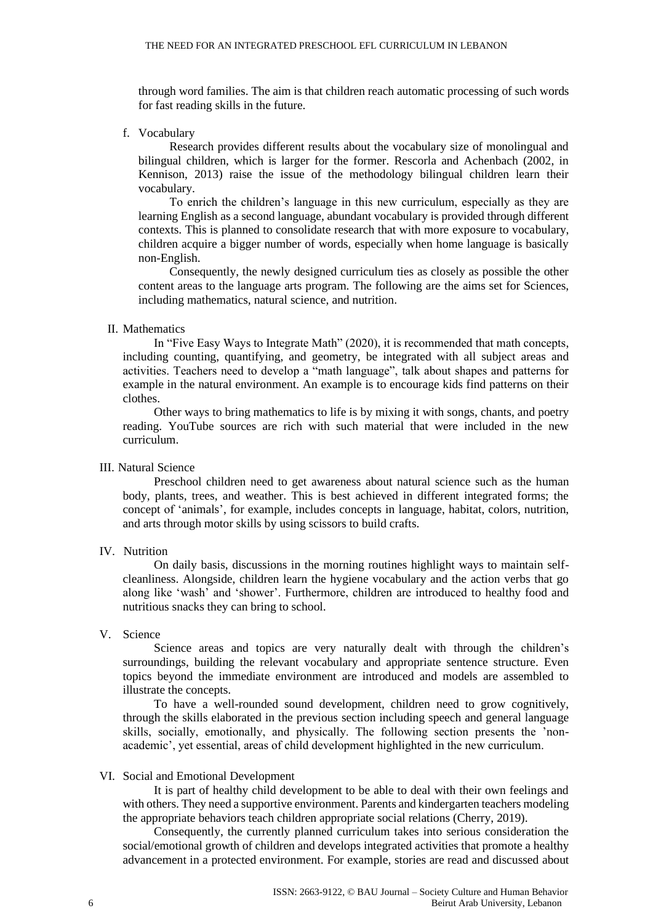through word families. The aim is that children reach automatic processing of such words for fast reading skills in the future.

f. Vocabulary

Research provides different results about the vocabulary size of monolingual and bilingual children, which is larger for the former. Rescorla and Achenbach (2002, in Kennison, 2013) raise the issue of the methodology bilingual children learn their vocabulary.

To enrich the children's language in this new curriculum, especially as they are learning English as a second language, abundant vocabulary is provided through different contexts. This is planned to consolidate research that with more exposure to vocabulary, children acquire a bigger number of words, especially when home language is basically non-English.

Consequently, the newly designed curriculum ties as closely as possible the other content areas to the language arts program. The following are the aims set for Sciences, including mathematics, natural science, and nutrition.

#### II. Mathematics

In "Five Easy Ways to Integrate Math" (2020), it is recommended that math concepts, including counting, quantifying, and geometry, be integrated with all subject areas and activities. Teachers need to develop a "math language", talk about shapes and patterns for example in the natural environment. An example is to encourage kids find patterns on their clothes.

Other ways to bring mathematics to life is by mixing it with songs, chants, and poetry reading. YouTube sources are rich with such material that were included in the new curriculum.

#### III. Natural Science

Preschool children need to get awareness about natural science such as the human body, plants, trees, and weather. This is best achieved in different integrated forms; the concept of 'animals', for example, includes concepts in language, habitat, colors, nutrition, and arts through motor skills by using scissors to build crafts.

#### IV. Nutrition

On daily basis, discussions in the morning routines highlight ways to maintain selfcleanliness. Alongside, children learn the hygiene vocabulary and the action verbs that go along like 'wash' and 'shower'. Furthermore, children are introduced to healthy food and nutritious snacks they can bring to school.

## V. Science

Science areas and topics are very naturally dealt with through the children's surroundings, building the relevant vocabulary and appropriate sentence structure. Even topics beyond the immediate environment are introduced and models are assembled to illustrate the concepts.

To have a well-rounded sound development, children need to grow cognitively, through the skills elaborated in the previous section including speech and general language skills, socially, emotionally, and physically. The following section presents the 'nonacademic', yet essential, areas of child development highlighted in the new curriculum.

#### VI. Social and Emotional Development

It is part of healthy child development to be able to deal with their own feelings and with others. They need a supportive environment. Parents and kindergarten teachers modeling the appropriate behaviors teach children appropriate social relations (Cherry, 2019).

Consequently, the currently planned curriculum takes into serious consideration the social/emotional growth of children and develops integrated activities that promote a healthy advancement in a protected environment. For example, stories are read and discussed about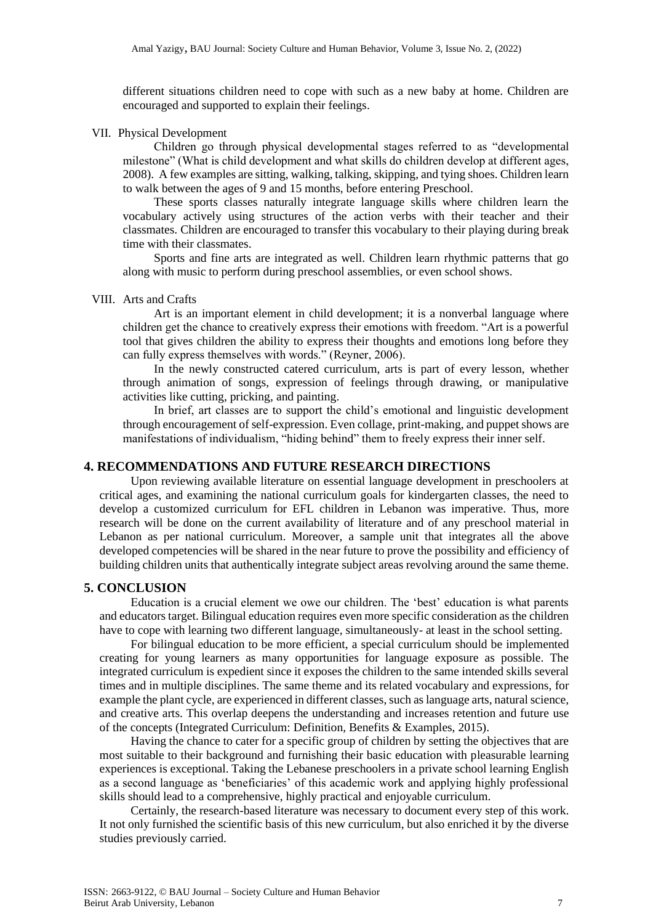different situations children need to cope with such as a new baby at home. Children are encouraged and supported to explain their feelings.

#### VII. Physical Development

Children go through physical developmental stages referred to as "developmental milestone" (What is child development and what skills do children develop at different ages, 2008). A few examples are sitting, walking, talking, skipping, and tying shoes. Children learn to walk between the ages of 9 and 15 months, before entering Preschool.

These sports classes naturally integrate language skills where children learn the vocabulary actively using structures of the action verbs with their teacher and their classmates. Children are encouraged to transfer this vocabulary to their playing during break time with their classmates.

Sports and fine arts are integrated as well. Children learn rhythmic patterns that go along with music to perform during preschool assemblies, or even school shows.

#### VIII. Arts and Crafts

Art is an important element in child development; it is a nonverbal language where children get the chance to creatively express their emotions with freedom. "Art is a powerful tool that gives children the ability to express their thoughts and emotions long before they can fully express themselves with words." (Reyner, 2006).

In the newly constructed catered curriculum, arts is part of every lesson, whether through animation of songs, expression of feelings through drawing, or manipulative activities like cutting, pricking, and painting.

In brief, art classes are to support the child's emotional and linguistic development through encouragement of self-expression. Even collage, print-making, and puppet shows are manifestations of individualism, "hiding behind" them to freely express their inner self.

## **4. RECOMMENDATIONS AND FUTURE RESEARCH DIRECTIONS**

Upon reviewing available literature on essential language development in preschoolers at critical ages, and examining the national curriculum goals for kindergarten classes, the need to develop a customized curriculum for EFL children in Lebanon was imperative. Thus, more research will be done on the current availability of literature and of any preschool material in Lebanon as per national curriculum. Moreover, a sample unit that integrates all the above developed competencies will be shared in the near future to prove the possibility and efficiency of building children units that authentically integrate subject areas revolving around the same theme.

#### **5. CONCLUSION**

Education is a crucial element we owe our children. The 'best' education is what parents and educators target. Bilingual education requires even more specific consideration as the children have to cope with learning two different language, simultaneously- at least in the school setting.

For bilingual education to be more efficient, a special curriculum should be implemented creating for young learners as many opportunities for language exposure as possible. The integrated curriculum is expedient since it exposes the children to the same intended skills several times and in multiple disciplines. The same theme and its related vocabulary and expressions, for example the plant cycle, are experienced in different classes, such as language arts, natural science, and creative arts. This overlap deepens the understanding and increases retention and future use of the concepts (Integrated Curriculum: Definition, Benefits & Examples, 2015).

Having the chance to cater for a specific group of children by setting the objectives that are most suitable to their background and furnishing their basic education with pleasurable learning experiences is exceptional. Taking the Lebanese preschoolers in a private school learning English as a second language as 'beneficiaries' of this academic work and applying highly professional skills should lead to a comprehensive, highly practical and enjoyable curriculum.

Certainly, the research-based literature was necessary to document every step of this work. It not only furnished the scientific basis of this new curriculum, but also enriched it by the diverse studies previously carried.